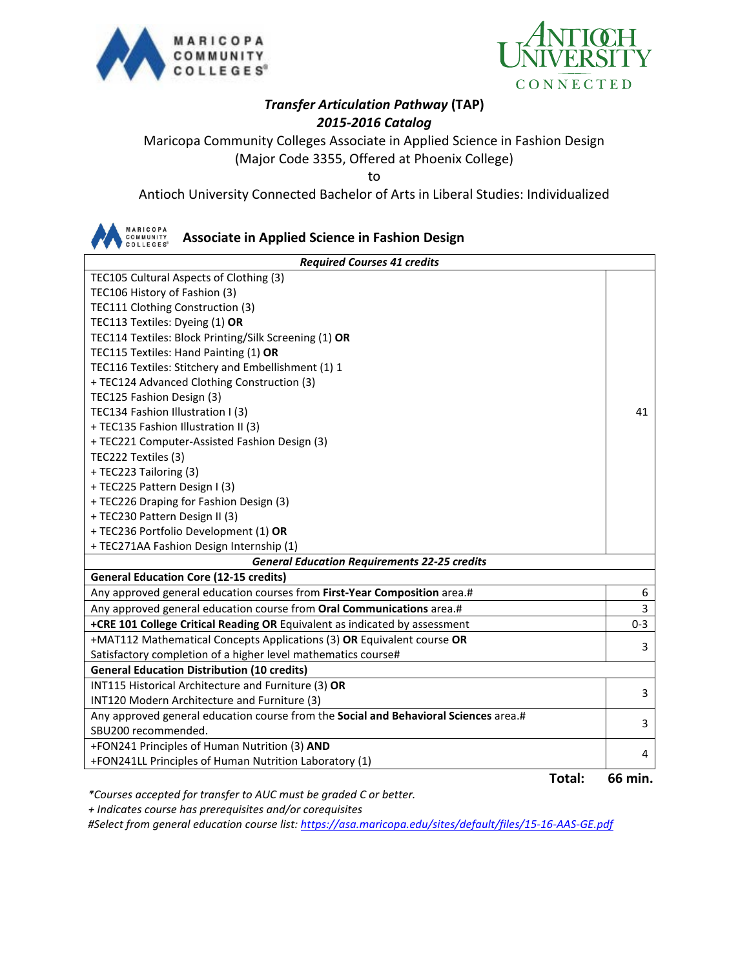



## *Transfer Articulation Pathway* **(TAP)** *2015-2016 Catalog*

Maricopa Community Colleges Associate in Applied Science in Fashion Design (Major Code 3355, Offered at Phoenix College)

to

Antioch University Connected Bachelor of Arts in Liberal Studies: Individualized



**Associate in Applied Science in Fashion Design**

| <b>Required Courses 41 credits</b>                                                   |         |  |  |
|--------------------------------------------------------------------------------------|---------|--|--|
| TEC105 Cultural Aspects of Clothing (3)                                              |         |  |  |
| TEC106 History of Fashion (3)                                                        |         |  |  |
| TEC111 Clothing Construction (3)                                                     |         |  |  |
| TEC113 Textiles: Dyeing (1) OR                                                       |         |  |  |
| TEC114 Textiles: Block Printing/Silk Screening (1) OR                                |         |  |  |
| TEC115 Textiles: Hand Painting (1) OR                                                |         |  |  |
| TEC116 Textiles: Stitchery and Embellishment (1) 1                                   |         |  |  |
| + TEC124 Advanced Clothing Construction (3)                                          |         |  |  |
| TEC125 Fashion Design (3)                                                            |         |  |  |
| TEC134 Fashion Illustration I (3)                                                    |         |  |  |
| + TEC135 Fashion Illustration II (3)                                                 |         |  |  |
| + TEC221 Computer-Assisted Fashion Design (3)                                        |         |  |  |
| TEC222 Textiles (3)                                                                  |         |  |  |
| + TEC223 Tailoring (3)                                                               |         |  |  |
| +TEC225 Pattern Design I (3)                                                         |         |  |  |
| + TEC226 Draping for Fashion Design (3)                                              |         |  |  |
| + TEC230 Pattern Design II (3)                                                       |         |  |  |
| + TEC236 Portfolio Development (1) OR                                                |         |  |  |
| + TEC271AA Fashion Design Internship (1)                                             |         |  |  |
| <b>General Education Requirements 22-25 credits</b>                                  |         |  |  |
| <b>General Education Core (12-15 credits)</b>                                        |         |  |  |
| Any approved general education courses from First-Year Composition area.#            | 6       |  |  |
| Any approved general education course from Oral Communications area.#                | 3       |  |  |
| +CRE 101 College Critical Reading OR Equivalent as indicated by assessment           | $0 - 3$ |  |  |
| +MAT112 Mathematical Concepts Applications (3) OR Equivalent course OR               | 3       |  |  |
| Satisfactory completion of a higher level mathematics course#                        |         |  |  |
| <b>General Education Distribution (10 credits)</b>                                   |         |  |  |
| INT115 Historical Architecture and Furniture (3) OR                                  | 3       |  |  |
| INT120 Modern Architecture and Furniture (3)                                         |         |  |  |
| Any approved general education course from the Social and Behavioral Sciences area.# |         |  |  |
| SBU200 recommended.                                                                  |         |  |  |
| +FON241 Principles of Human Nutrition (3) AND                                        | 4       |  |  |
| +FON241LL Principles of Human Nutrition Laboratory (1)                               |         |  |  |

**Total: 66 min.**

*\*Courses accepted for transfer to AUC must be graded C or better.*

 *+ Indicates course has prerequisites and/or corequisites*

*#Select from general education course list:<https://asa.maricopa.edu/sites/default/files/15-16-AAS-GE.pdf>*